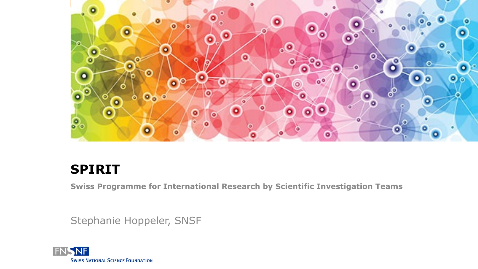

#### **SPIRIT**

**Swiss Programme for International Research by Scientific Investigation Teams**

Stephanie Hoppeler, SNSF

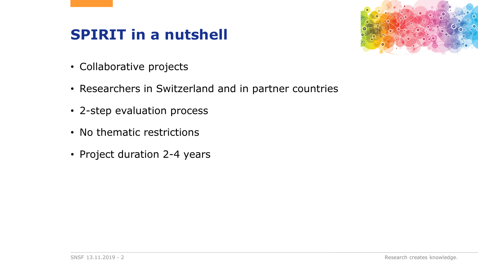## **SPIRIT in a nutshell**



- Collaborative projects
- Researchers in Switzerland and in partner countries
- 2-step evaluation process
- No thematic restrictions
- Project duration 2-4 years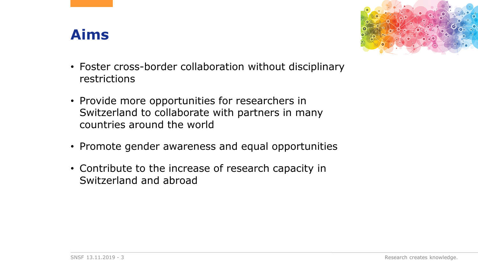### **Aims**



- Foster cross-border collaboration without disciplinary restrictions
- Provide more opportunities for researchers in Switzerland to collaborate with partners in many countries around the world
- Promote gender awareness and equal opportunities
- Contribute to the increase of research capacity in Switzerland and abroad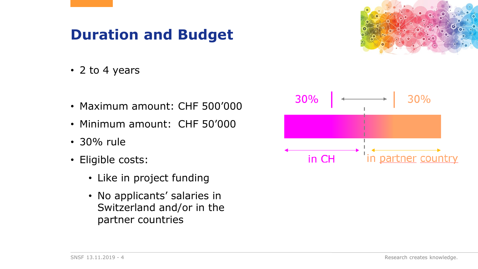## **Duration and Budget**



- 2 to 4 years
- Maximum amount: CHF 500'000
- Minimum amount: CHF 50'000
- 30% rule
- Eligible costs:
	- Like in project funding
	- No applicants' salaries in Switzerland and/or in the partner countries

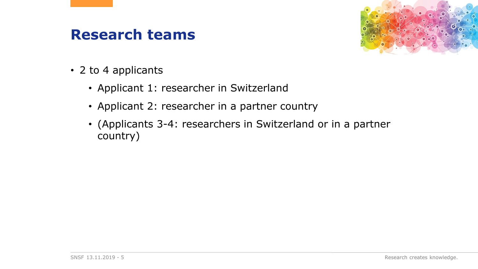#### **Research teams**



- 2 to 4 applicants
	- Applicant 1: researcher in Switzerland
	- Applicant 2: researcher in a partner country
	- (Applicants 3-4: researchers in Switzerland or in a partner country)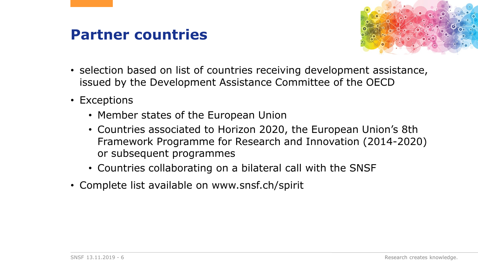#### **Partner countries**



- selection based on list of countries receiving development assistance, issued by the Development Assistance Committee of the OECD
- Exceptions
	- Member states of the European Union
	- Countries associated to Horizon 2020, the European Union's 8th Framework Programme for Research and Innovation (2014-2020) or subsequent programmes
	- Countries collaborating on a bilateral call with the SNSF
- Complete list available on www.snsf.ch/spirit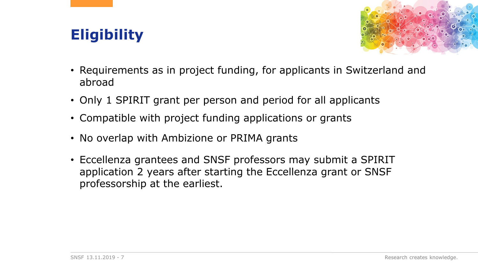# **Eligibility**



- Requirements as in project funding, for applicants in Switzerland and abroad
- Only 1 SPIRIT grant per person and period for all applicants
- Compatible with project funding applications or grants
- No overlap with Ambizione or PRIMA grants
- Eccellenza grantees and SNSF professors may submit a SPIRIT application 2 years after starting the Eccellenza grant or SNSF professorship at the earliest.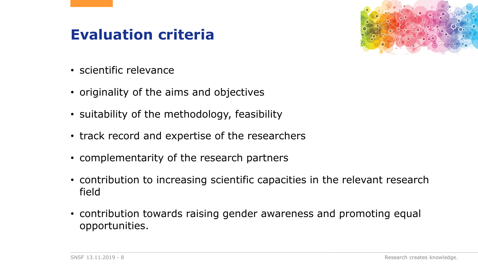## **Evaluation criteria**



- scientific relevance
- originality of the aims and objectives
- suitability of the methodology, feasibility
- track record and expertise of the researchers
- complementarity of the research partners
- contribution to increasing scientific capacities in the relevant research field
- contribution towards raising gender awareness and promoting equal opportunities.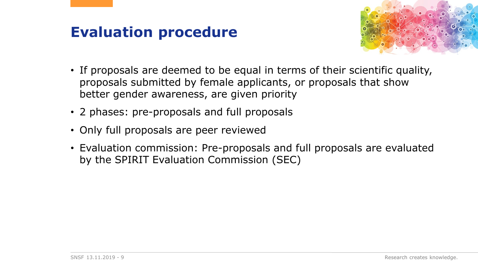## **Evaluation procedure**



- If proposals are deemed to be equal in terms of their scientific quality, proposals submitted by female applicants, or proposals that show better gender awareness, are given priority
- 2 phases: pre-proposals and full proposals
- Only full proposals are peer reviewed
- Evaluation commission: Pre-proposals and full proposals are evaluated by the SPIRIT Evaluation Commission (SEC)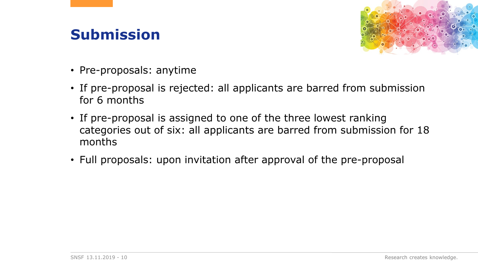## **Submission**



- Pre-proposals: anytime
- If pre-proposal is rejected: all applicants are barred from submission for 6 months
- If pre-proposal is assigned to one of the three lowest ranking categories out of six: all applicants are barred from submission for 18 months
- Full proposals: upon invitation after approval of the pre-proposal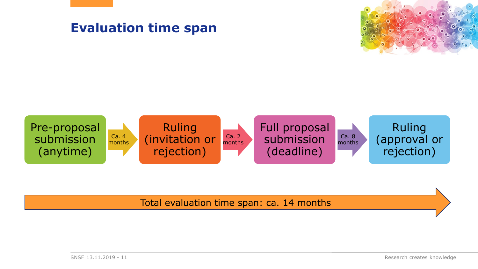

#### Total evaluation time span: ca. 14 months